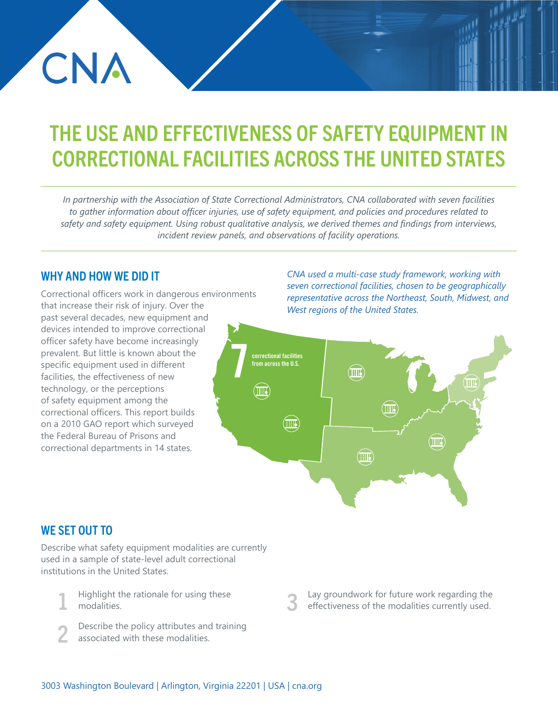# THE USE AND EFFECTIVENESS OF SAFETY EQUIPMENT IN CORRECTIONAL FACILITIES ACROSS THE UNITED STATES

*In partnership with the Association of State Correctional Administrators, CNA collaborated with seven facilities to gather information about officer injuries, use of safety equipment, and policies and procedures related to safety and safety equipment. Using robust qualitative analysis, we derived themes and findings from interviews, incident review panels, and observations of facility operations.*

### WHY AND HOW WE DID IT

CNA

Correctional officers work in dangerous environments that increase their risk of injury. Over the past several decades, new equipment and devices intended to improve correctional officer safety have become increasingly prevalent. But little is known about the specific equipment used in different facilities, the effectiveness of new technology, or the perceptions of safety equipment among the correctional officers. This report builds on a 2010 GAO report which surveyed the Federal Bureau of Prisons and correctional departments in 14 states.

*CNA used a multi-case study framework, working with seven correctional facilities, chosen to be geographically representative across the Northeast, South, Midwest, and West regions of the United States.*



# WE SET OUT TO

Describe what safety equipment modalities are currently used in a sample of state-level adult correctional institutions in the United States.

- Highlight the rationale for using these modalities.
- Describe the policy attributes and training associated with these modalities. 2
- Lay groundwork for future work regarding the effectiveness of the modalities currently used. 3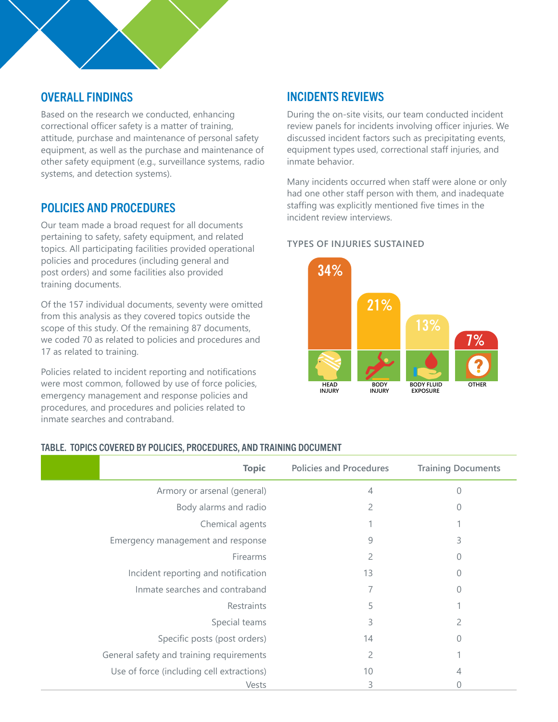# OVERALL FINDINGS

Based on the research we conducted, enhancing correctional officer safety is a matter of training, attitude, purchase and maintenance of personal safety equipment, as well as the purchase and maintenance of other safety equipment (e.g., surveillance systems, radio systems, and detection systems).

# POLICIES AND PROCEDURES

Our team made a broad request for all documents pertaining to safety, safety equipment, and related topics. All participating facilities provided operational policies and procedures (including general and post orders) and some facilities also provided training documents.

Of the 157 individual documents, seventy were omitted from this analysis as they covered topics outside the scope of this study. Of the remaining 87 documents, we coded 70 as related to policies and procedures and 17 as related to training.

Policies related to incident reporting and notifications were most common, followed by use of force policies, emergency management and response policies and procedures, and procedures and policies related to inmate searches and contraband.

# INCIDENTS REVIEWS

During the on-site visits, our team conducted incident review panels for incidents involving officer injuries. We discussed incident factors such as precipitating events, equipment types used, correctional staff injuries, and inmate behavior.

Many incidents occurred when staff were alone or only had one other staff person with them, and inadequate staffing was explicitly mentioned five times in the incident review interviews.

#### **TYPES OF INJURIES SUSTAINED**



#### TABLE. TOPICS COVERED BY POLICIES, PROCEDURES, AND TRAINING DOCUMENT

| <b>Topic</b>                              | <b>Policies and Procedures</b> | <b>Training Documents</b> |
|-------------------------------------------|--------------------------------|---------------------------|
| Armory or arsenal (general)               | 4                              | 0                         |
| Body alarms and radio                     | 2                              |                           |
| Chemical agents                           |                                |                           |
| Emergency management and response         | 9                              | 3                         |
| Firearms                                  | 2                              |                           |
| Incident reporting and notification       | 13                             |                           |
| Inmate searches and contraband            |                                | 0                         |
| Restraints                                | 5                              |                           |
| Special teams                             | 3                              |                           |
| Specific posts (post orders)              | 14                             | 0                         |
| General safety and training requirements  | 2                              |                           |
| Use of force (including cell extractions) | 10                             |                           |
| Vests                                     | 3                              |                           |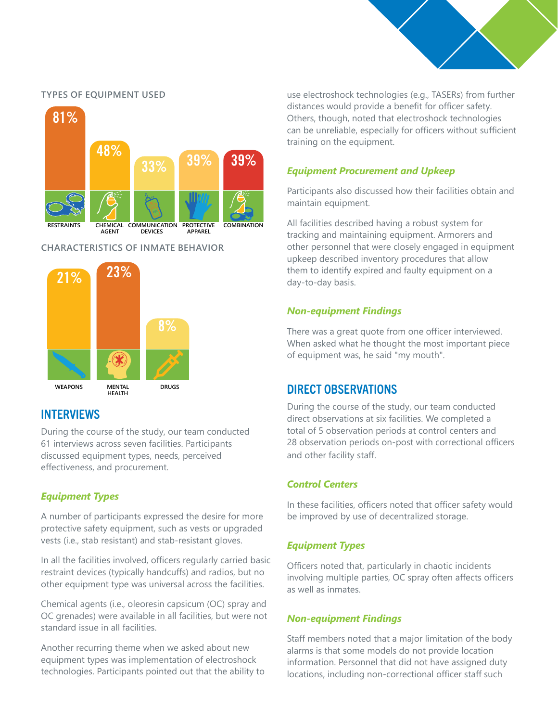

#### **TYPES OF EQUIPMENT USED**



#### **CHARACTERISTICS OF INMATE BEHAVIOR**



# INTERVIEWS

During the course of the study, our team conducted 61 interviews across seven facilities. Participants discussed equipment types, needs, perceived effectiveness, and procurement.

## *Equipment Types*

A number of participants expressed the desire for more protective safety equipment, such as vests or upgraded vests (i.e., stab resistant) and stab-resistant gloves.

In all the facilities involved, officers regularly carried basic restraint devices (typically handcuffs) and radios, but no other equipment type was universal across the facilities.

Chemical agents (i.e., oleoresin capsicum (OC) spray and OC grenades) were available in all facilities, but were not standard issue in all facilities.

Another recurring theme when we asked about new equipment types was implementation of electroshock technologies. Participants pointed out that the ability to use electroshock technologies (e.g., TASERs) from further distances would provide a benefit for officer safety. Others, though, noted that electroshock technologies can be unreliable, especially for officers without sufficient training on the equipment.

#### *Equipment Procurement and Upkeep*

Participants also discussed how their facilities obtain and maintain equipment.

All facilities described having a robust system for tracking and maintaining equipment. Armorers and other personnel that were closely engaged in equipment upkeep described inventory procedures that allow them to identify expired and faulty equipment on a day-to-day basis.

#### *Non-equipment Findings*

There was a great quote from one officer interviewed. When asked what he thought the most important piece of equipment was, he said "my mouth".

# DIRECT OBSERVATIONS

During the course of the study, our team conducted direct observations at six facilities. We completed a total of 5 observation periods at control centers and 28 observation periods on-post with correctional officers and other facility staff.

#### *Control Centers*

In these facilities, officers noted that officer safety would be improved by use of decentralized storage.

#### *Equipment Types*

Officers noted that, particularly in chaotic incidents involving multiple parties, OC spray often affects officers as well as inmates.

#### *Non-equipment Findings*

Staff members noted that a major limitation of the body alarms is that some models do not provide location information. Personnel that did not have assigned duty locations, including non-correctional officer staff such